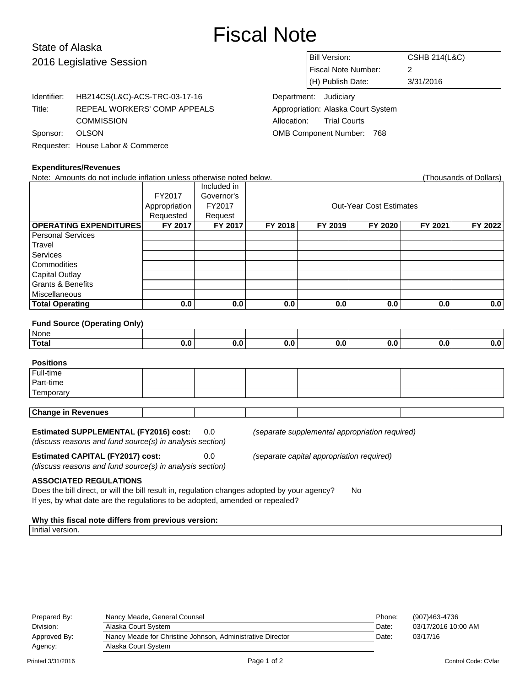## Fiscal Note

## State of Alaska 2016 Legislative Session

| Bill Version:         | <b>CSHB 214(L&amp;C)</b> |  |  |
|-----------------------|--------------------------|--|--|
| Fiscal Note Number:   |                          |  |  |
| (H) Publish Date:     | 3/31/2016                |  |  |
| Denartment: ludiciary |                          |  |  |

Department: Judiciary Appropriation: Alaska Court System Allocation: Trial Courts OMB Component Number: 768

|                              | Identifier:    | HB214CS(L&C)-ACS-TRC-03-17-16     |  |
|------------------------------|----------------|-----------------------------------|--|
|                              | Title:         | REPEAL WORKERS' COMP APPEALS      |  |
|                              |                | <b>COMMISSION</b>                 |  |
|                              | Sponsor: OLSON |                                   |  |
|                              |                | Requester: House Labor & Commerce |  |
|                              |                |                                   |  |
| <b>Expenditures/Revenues</b> |                |                                   |  |

| Note: Amounts do not include inflation unless otherwise noted below. |               |             |         |         |                                |         | (Thousands of Dollars) |
|----------------------------------------------------------------------|---------------|-------------|---------|---------|--------------------------------|---------|------------------------|
|                                                                      |               | Included in |         |         |                                |         |                        |
|                                                                      | FY2017        | Governor's  |         |         |                                |         |                        |
|                                                                      | Appropriation | FY2017      |         |         | <b>Out-Year Cost Estimates</b> |         |                        |
|                                                                      | Requested     | Request     |         |         |                                |         |                        |
| <b>OPERATING EXPENDITURES</b>                                        | FY 2017       | FY 2017     | FY 2018 | FY 2019 | FY 2020                        | FY 2021 | FY 2022                |
| <b>Personal Services</b>                                             |               |             |         |         |                                |         |                        |
| Travel                                                               |               |             |         |         |                                |         |                        |
| <b>Services</b>                                                      |               |             |         |         |                                |         |                        |
| Commodities                                                          |               |             |         |         |                                |         |                        |
| <b>Capital Outlay</b>                                                |               |             |         |         |                                |         |                        |
| <b>Grants &amp; Benefits</b>                                         |               |             |         |         |                                |         |                        |
| Miscellaneous                                                        |               |             |         |         |                                |         |                        |
| <b>Total Operating</b>                                               | 0.0           | 0.0         | 0.0     | 0.0     | 0.0                            | 0.0     | 0.0                    |
|                                                                      |               |             |         |         |                                |         |                        |
| <b>Fund Source (Operating Only)</b>                                  |               |             |         |         |                                |         |                        |
| None                                                                 |               |             |         |         |                                |         |                        |
| <b>Total</b>                                                         | 0.0           | 0.0         | 0.0     | 0.0     | 0.0                            | 0.0     | 0.0                    |
|                                                                      |               |             |         |         |                                |         |                        |

| <b>Positions</b>          |  |  |  |  |  |  |
|---------------------------|--|--|--|--|--|--|
| Full-time<br>Part-time    |  |  |  |  |  |  |
|                           |  |  |  |  |  |  |
| Temporary                 |  |  |  |  |  |  |
|                           |  |  |  |  |  |  |
| <b>Change in Revenues</b> |  |  |  |  |  |  |

**Estimated SUPPLEMENTAL (FY2016) cost:** 0.0 (separate supplemental appropriation required) (discuss reasons and fund source(s) in analysis section)

**Estimated CAPITAL (FY2017) cost:** 0.0 (separate capital appropriation required)

(discuss reasons and fund source(s) in analysis section) **ASSOCIATED REGULATIONS**

Does the bill direct, or will the bill result in, regulation changes adopted by your agency? No If yes, by what date are the regulations to be adopted, amended or repealed?

**Why this fiscal note differs from previous version:**

Initial version.

| Prepared By: | Nancy Meade, General Counsel                               | Phone: | (907)463-4736       |
|--------------|------------------------------------------------------------|--------|---------------------|
| Division:    | Alaska Court System                                        | Date:  | 03/17/2016 10:00 AM |
| Approved By: | Nancy Meade for Christine Johnson, Administrative Director | Date:  | 03/17/16            |
| Agency:      | Alaska Court System                                        |        |                     |